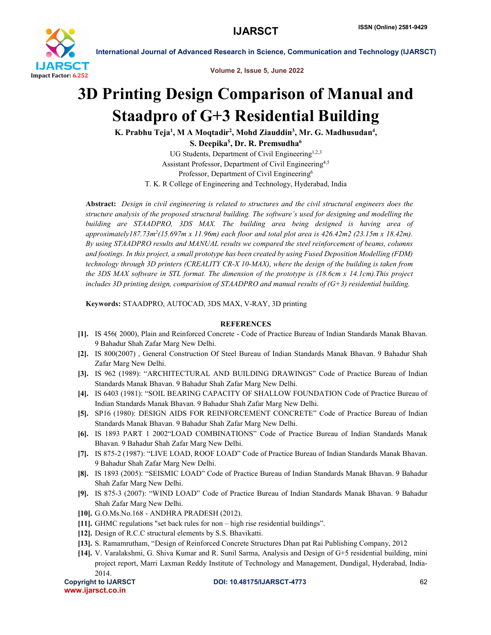

International Journal of Advanced Research in Science, Communication and Technology (IJARSCT)

Volume 2, Issue 5, June 2022

## 3D Printing Design Comparison of Manual and Staadpro of G+3 Residential Building

K. Prabhu Teja<sup>1</sup>, M A Moqtadir<sup>2</sup>, Mohd Ziauddin<sup>3</sup>, Mr. G. Madhusudan<sup>4</sup>,

S. Deepika $^5\!$ , Dr. R. Premsudha $^6\!$ 

UG Students, Department of Civil Engineering<sup>1,2,3</sup> Assistant Professor, Department of Civil Engineering<sup>4,5</sup> Professor, Department of Civil Engineering<sup>6</sup> T. K. R College of Engineering and Technology, Hyderabad, India

Abstract: *Design in civil engineering is related to structures and the civil structural engineers does the structure analysis of the proposed structural building. The software's used for designing and modelling the building are STAADPRO, 3DS MAX. The building area being designed is having area of approximately187.73m2(15.697m x 11.96m) each floor and total plot area is 426.42m2 (23.15m x 18.42m). By using STAADPRO results and MANUAL results we compared the steel reinforcement of beams, columns and footings. In this project, a small prototype has been created by using Fused Deposition Modelling (FDM) technology through 3D printers (CREALITY CR-X 10-MAX), where the design of the building is taken from the 3DS MAX software in STL format. The dimension of the prototype is (18.6cm x 14.1cm).This project includes 3D printing design, comparision of STAADPRO and manual results of (G+3) residential building.*

Keywords: STAADPRO, AUTOCAD, 3DS MAX, V-RAY, 3D printing

## **REFERENCES**

- [1]. IS 456( 2000), Plain and Reinforced Concrete Code of Practice Bureau of Indian Standards Manak Bhavan. 9 Bahadur Shah Zafar Marg New Delhi.
- [2]. IS 800(2007) , General Construction Of Steel Bureau of Indian Standards Manak Bhavan. 9 Bahadur Shah Zafar Marg New Delhi.
- [3]. IS 962 (1989): "ARCHITECTURAL AND BUILDING DRAWINGS" Code of Practice Bureau of Indian Standards Manak Bhavan. 9 Bahadur Shah Zafar Marg New Delhi.
- [4]. IS 6403 (1981): "SOIL BEARING CAPACITY OF SHALLOW FOUNDATION Code of Practice Bureau of Indian Standards Manak Bhavan. 9 Bahadur Shah Zafar Marg New Delhi.
- [5]. SP16 (1980): DESIGN AIDS FOR REINFORCEMENT CONCRETE" Code of Practice Bureau of Indian Standards Manak Bhavan. 9 Bahadur Shah Zafar Marg New Delhi.
- [6]. IS 1893 PART 1 2002"LOAD COMBINATIONS" Code of Practice Bureau of Indian Standards Manak Bhavan. 9 Bahadur Shah Zafar Marg New Delhi.
- [7]. IS 875-2 (1987): "LIVE LOAD, ROOF LOAD" Code of Practice Bureau of Indian Standards Manak Bhavan. 9 Bahadur Shah Zafar Marg New Delhi.
- [8]. IS 1893 (2005): "SEISMIC LOAD" Code of Practice Bureau of Indian Standards Manak Bhavan. 9 Bahadur Shah Zafar Marg New Delhi.
- [9]. IS 875-3 (2007): "WIND LOAD" Code of Practice Bureau of Indian Standards Manak Bhavan. 9 Bahadur Shah Zafar Marg New Delhi.
- [10]. G.O.Ms.No.168 ANDHRA PRADESH (2012).
- [11]. GHMC regulations "set back rules for non high rise residential buildings".
- [12]. Design of R.C.C structural elements by S.S. Bhavikatti.
- [13]. S. Ramamrutham, "Design of Reinforced Concrete Structures Dhan pat Rai Publishing Company, 2012
- [14]. V. Varalakshmi, G. Shiva Kumar and R. Sunil Sarma, Analysis and Design of G+5 residential building, mini project report, Marri Laxman Reddy Institute of Technology and Management, Dundigal, Hyderabad, India-2014.